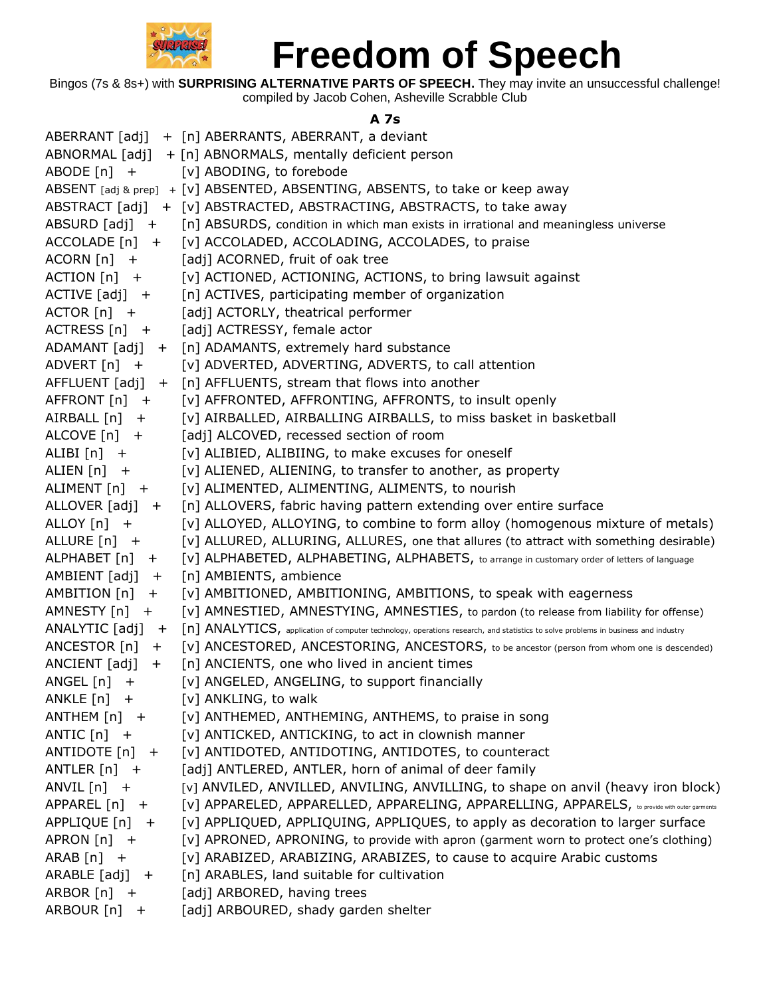

Bingos (7s & 8s+) with **SURPRISING ALTERNATIVE PARTS OF SPEECH.** They may invite an unsuccessful challenge! compiled by Jacob Cohen, Asheville Scrabble Club

## **A 7s**

|                     | ABERRANT [adj] + [n] ABERRANTS, ABERRANT, a deviant                                                                               |
|---------------------|-----------------------------------------------------------------------------------------------------------------------------------|
|                     | ABNORMAL [adj] + [n] ABNORMALS, mentally deficient person                                                                         |
| ABODE $[n]$ +       | [v] ABODING, to forebode                                                                                                          |
|                     | ABSENT [adj & prep] + [V] ABSENTED, ABSENTING, ABSENTS, to take or keep away                                                      |
|                     | ABSTRACT [adj] + [v] ABSTRACTED, ABSTRACTING, ABSTRACTS, to take away                                                             |
|                     | ABSURD $[adj] + [n]$ ABSURDS, condition in which man exists in irrational and meaningless universe                                |
|                     | ACCOLADE [n] + [v] ACCOLADED, ACCOLADING, ACCOLADES, to praise                                                                    |
| $ACORN$ $[n]$ +     | [adj] ACORNED, fruit of oak tree                                                                                                  |
| $ACTION [n] +$      | [v] ACTIONED, ACTIONING, ACTIONS, to bring lawsuit against                                                                        |
| $ACTIVE [adj] +$    | [n] ACTIVES, participating member of organization                                                                                 |
| $ACTOR [n] +$       | [adj] ACTORLY, theatrical performer                                                                                               |
| $ACTRESS[n]$ +      | [adj] ACTRESSY, female actor                                                                                                      |
|                     | ADAMANT [adj] + [n] ADAMANTS, extremely hard substance                                                                            |
| ADVERT $[n]$ +      | [v] ADVERTED, ADVERTING, ADVERTS, to call attention                                                                               |
|                     | AFFLUENT $[adj] + [n]$ AFFLUENTS, stream that flows into another                                                                  |
| AFFRONT [n] +       | [v] AFFRONTED, AFFRONTING, AFFRONTS, to insult openly                                                                             |
| AIRBALL [n] +       | [v] AIRBALLED, AIRBALLING AIRBALLS, to miss basket in basketball                                                                  |
| ALCOVE $[n]$ +      | [adj] ALCOVED, recessed section of room                                                                                           |
| $ALIBI[n] +$        | [v] ALIBIED, ALIBIING, to make excuses for oneself                                                                                |
| ALIEN [n] +         | [v] ALIENED, ALIENING, to transfer to another, as property                                                                        |
| ALIMENT [n] +       | [v] ALIMENTED, ALIMENTING, ALIMENTS, to nourish                                                                                   |
| ALLOVER $[adj] +$   | [n] ALLOVERS, fabric having pattern extending over entire surface                                                                 |
| ALLOY $[n]$ +       | [v] ALLOYED, ALLOYING, to combine to form alloy (homogenous mixture of metals)                                                    |
| ALLURE [n] +        | [v] ALLURED, ALLURING, ALLURES, one that allures (to attract with something desirable)                                            |
| ALPHABET [n] +      | [V] ALPHABETED, ALPHABETING, ALPHABETS, to arrange in customary order of letters of language                                      |
| $AMBIENT [adj] +$   | [n] AMBIENTS, ambience                                                                                                            |
| AMBITION $[n]$ +    | [v] AMBITIONED, AMBITIONING, AMBITIONS, to speak with eagerness                                                                   |
| AMNESTY $[n]$ +     | [v] AMNESTIED, AMNESTYING, AMNESTIES, to pardon (to release from liability for offense)                                           |
| ANALYTIC $[adj] +$  | [n] ANALYTICS, application of computer technology, operations research, and statistics to solve problems in business and industry |
| ANCESTOR $[n]$ +    | [v] ANCESTORED, ANCESTORING, ANCESTORS, to be ancestor (person from whom one is descended)                                        |
| ANCIENT $[adj] +$   | [n] ANCIENTS, one who lived in ancient times                                                                                      |
| ANGEL $[n]$ +       | [v] ANGELED, ANGELING, to support financially                                                                                     |
| ANKLE $[n]$ +       | [v] ANKLING, to walk                                                                                                              |
| ANTHEM $[n]$ +      | [v] ANTHEMED, ANTHEMING, ANTHEMS, to praise in song                                                                               |
| ANTIC $[n]$ +       | [v] ANTICKED, ANTICKING, to act in clownish manner                                                                                |
| ANTIDOTE [n] +      | [v] ANTIDOTED, ANTIDOTING, ANTIDOTES, to counteract                                                                               |
| ANTLER $[n]$ +      | [adj] ANTLERED, ANTLER, horn of animal of deer family                                                                             |
| ANVIL $[n]$ +       | [v] ANVILED, ANVILLED, ANVILING, ANVILLING, to shape on anvil (heavy iron block)                                                  |
| APPAREL [n] +       | [V] APPARELED, APPARELLED, APPARELING, APPARELLING, APPARELS, to provide with outer garments                                      |
| APPLIQUE [n]<br>$+$ | [v] APPLIQUED, APPLIQUING, APPLIQUES, to apply as decoration to larger surface                                                    |
| APRON $[n]$ +       | [v] APRONED, APRONING, to provide with apron (garment worn to protect one's clothing)                                             |
| $ARAB[n]$ +         | [v] ARABIZED, ARABIZING, ARABIZES, to cause to acquire Arabic customs                                                             |
| $ARABLE [adj] +$    | [n] ARABLES, land suitable for cultivation                                                                                        |
| ARBOR $[n]$ +       | [adj] ARBORED, having trees                                                                                                       |
| ARBOUR [n] +        | [adj] ARBOURED, shady garden shelter                                                                                              |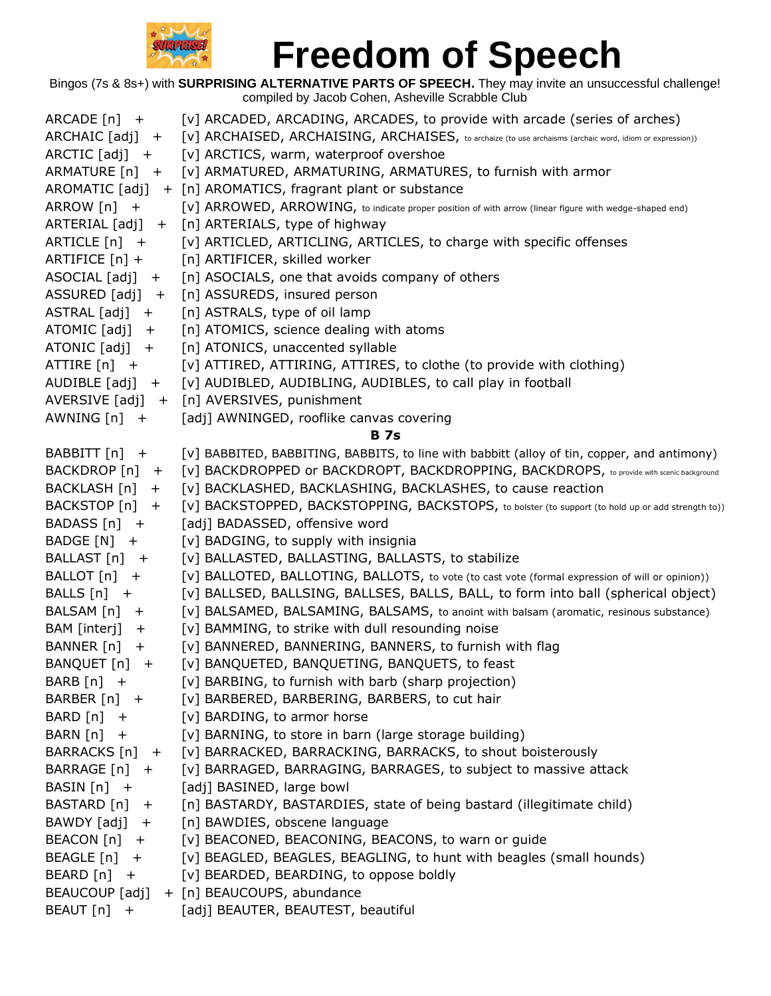

| $ARCADE[n] +$     | [v] ARCADED, ARCADING, ARCADES, to provide with arcade (series of arches)                                |
|-------------------|----------------------------------------------------------------------------------------------------------|
| $ARCHAIC [adj] +$ | [V] ARCHAISED, ARCHAISING, ARCHAISES, to archaize (to use archaisms (archaic word, idiom or expression)) |
| ARCTIC $[adi]$ +  | [v] ARCTICS, warm, waterproof overshoe                                                                   |
| ARMATURE $[n]$ +  | [v] ARMATURED, ARMATURING, ARMATURES, to furnish with armor                                              |
|                   | AROMATIC [adj] + [n] AROMATICS, fragrant plant or substance                                              |
| ARROW $[n]$ +     | [V] ARROWED, ARROWING, to indicate proper position of with arrow (linear figure with wedge-shaped end)   |
|                   | ARTERIAL [adj] + [n] ARTERIALS, type of highway                                                          |
| ARTICLE $[n]$ +   | [v] ARTICLED, ARTICLING, ARTICLES, to charge with specific offenses                                      |
| ARTIFICE [n] +    | [n] ARTIFICER, skilled worker                                                                            |
| $ASOCIAL [adj] +$ | [n] ASOCIALS, one that avoids company of others                                                          |
| ASSURED $[adj]$ + | [n] ASSUREDS, insured person                                                                             |
| $ASTRAL [adj] +$  | [n] ASTRALS, type of oil lamp                                                                            |
| ATOMIC $[adj] +$  | [n] ATOMICS, science dealing with atoms                                                                  |
| ATONIC $[adj] +$  | [n] ATONICS, unaccented syllable                                                                         |
| ATTIRE [n] +      | [v] ATTIRED, ATTIRING, ATTIRES, to clothe (to provide with clothing)                                     |
| AUDIBLE $[adj] +$ | [v] AUDIBLED, AUDIBLING, AUDIBLES, to call play in football                                              |
|                   | AVERSIVE [adj] + [n] AVERSIVES, punishment                                                               |
| AWNING $[n]$ +    | [adj] AWNINGED, rooflike canvas covering                                                                 |
|                   | <b>B</b> 7s                                                                                              |
| BABBITT [n] +     | [v] BABBITED, BABBITING, BABBITS, to line with babbitt (alloy of tin, copper, and antimony)              |
| BACKDROP [n] +    | [V] BACKDROPPED or BACKDROPT, BACKDROPPING, BACKDROPS, to provide with scenic background                 |
| BACKLASH [n] +    | [v] BACKLASHED, BACKLASHING, BACKLASHES, to cause reaction                                               |
| BACKSTOP [n] +    | [V] BACKSTOPPED, BACKSTOPPING, BACKSTOPS, to bolster (to support (to hold up or add strength to))        |
| BADASS $[n]$ +    | [adj] BADASSED, offensive word                                                                           |
| BADGE [N] +       | [v] BADGING, to supply with insignia                                                                     |
| BALLAST [n] +     | [v] BALLASTED, BALLASTING, BALLASTS, to stabilize                                                        |
| BALLOT [n] +      | [V] BALLOTED, BALLOTING, BALLOTS, to vote (to cast vote (formal expression of will or opinion))          |
| BALLS $[n]$ +     | [v] BALLSED, BALLSING, BALLSES, BALLS, BALL, to form into ball (spherical object)                        |
| BALSAM [n] +      | [v] BALSAMED, BALSAMING, BALSAMS, to anoint with balsam (aromatic, resinous substance)                   |
| BAM [interj]      | [v] BAMMING, to strike with dull resounding noise                                                        |
| $+$               | [v] BANNERED, BANNERING, BANNERS, to furnish with flag                                                   |
| BANNER [n] +      |                                                                                                          |
| BANQUET [n] +     | [v] BANQUETED, BANQUETING, BANQUETS, to feast                                                            |
| BARB $[n]$ +      | [v] BARBING, to furnish with barb (sharp projection)                                                     |
| BARBER [n] +      | [v] BARBERED, BARBERING, BARBERS, to cut hair                                                            |
| $BARD[n]$ +       | [v] BARDING, to armor horse                                                                              |
| $BARN[n] +$       | [v] BARNING, to store in barn (large storage building)                                                   |
| BARRACKS [n] +    | [v] BARRACKED, BARRACKING, BARRACKS, to shout boisterously                                               |
| BARRAGE [n] +     | [v] BARRAGED, BARRAGING, BARRAGES, to subject to massive attack                                          |
| BASIN [n] +       | [adj] BASINED, large bowl                                                                                |
| BASTARD [n] +     | [n] BASTARDY, BASTARDIES, state of being bastard (illegitimate child)                                    |
| BAWDY [adj] +     | [n] BAWDIES, obscene language                                                                            |
| BEACON [n] +      | [v] BEACONED, BEACONING, BEACONS, to warn or guide                                                       |
| BEAGLE [n] +      | [v] BEAGLED, BEAGLES, BEAGLING, to hunt with beagles (small hounds)                                      |
| BEARD $[n]$ +     | [v] BEARDED, BEARDING, to oppose boldly                                                                  |
|                   | BEAUCOUP [adj] + [n] BEAUCOUPS, abundance                                                                |
| BEAUT [n]<br>$+$  | [adj] BEAUTER, BEAUTEST, beautiful                                                                       |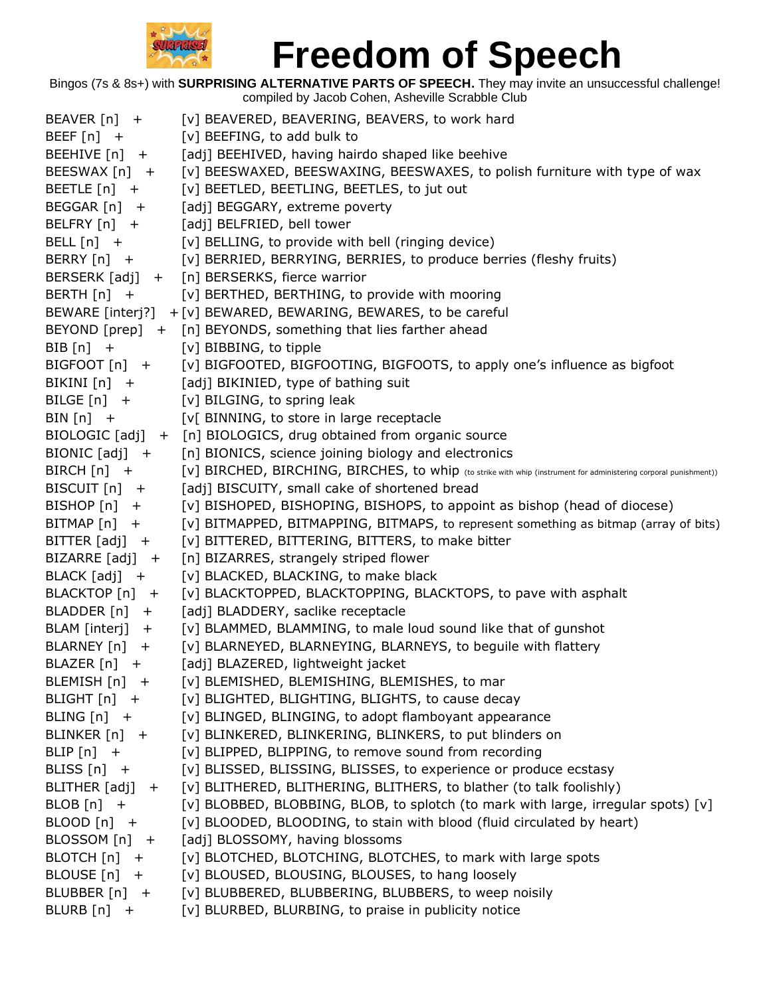

| BEAVER [n] +      | [v] BEAVERED, BEAVERING, BEAVERS, to work hard                                                                   |
|-------------------|------------------------------------------------------------------------------------------------------------------|
| BEEF $[n]$ +      | [v] BEEFING, to add bulk to                                                                                      |
| BEEHIVE [n] +     | [adj] BEEHIVED, having hairdo shaped like beehive                                                                |
| BEESWAX [n] +     | [v] BEESWAXED, BEESWAXING, BEESWAXES, to polish furniture with type of wax                                       |
| BEETLE $[n]$ +    | [v] BEETLED, BEETLING, BEETLES, to jut out                                                                       |
| BEGGAR [n] +      | [adj] BEGGARY, extreme poverty                                                                                   |
| BELFRY [n] +      | [adj] BELFRIED, bell tower                                                                                       |
| BELL $[n]$ +      | [v] BELLING, to provide with bell (ringing device)                                                               |
| BERRY $[n]$ +     | [v] BERRIED, BERRYING, BERRIES, to produce berries (fleshy fruits)                                               |
|                   | BERSERK [adj] + [n] BERSERKS, fierce warrior                                                                     |
| BERTH $[n]$ +     | [v] BERTHED, BERTHING, to provide with mooring                                                                   |
|                   | BEWARE [interj?] + [v] BEWARED, BEWARING, BEWARES, to be careful                                                 |
|                   | BEYOND [prep] + [n] BEYONDS, something that lies farther ahead                                                   |
| BIB $[n]$ +       | [v] BIBBING, to tipple                                                                                           |
| BIGFOOT [n] +     | [v] BIGFOOTED, BIGFOOTING, BIGFOOTS, to apply one's influence as bigfoot                                         |
| BIKINI $[n]$ +    | [adj] BIKINIED, type of bathing suit                                                                             |
| BILGE $[n]$ +     | [v] BILGING, to spring leak                                                                                      |
| BIN $[n]$ +       | [v] BINNING, to store in large receptacle                                                                        |
|                   | BIOLOGIC [adj] + [n] BIOLOGICS, drug obtained from organic source                                                |
| BIONIC [adj] +    | [n] BIONICS, science joining biology and electronics                                                             |
| BIRCH [n] +       | [V] BIRCHED, BIRCHING, BIRCHES, to whip (to strike with whip (instrument for administering corporal punishment)) |
| BISCUIT [n] +     | [adj] BISCUITY, small cake of shortened bread                                                                    |
| BISHOP [n] +      | [v] BISHOPED, BISHOPING, BISHOPS, to appoint as bishop (head of diocese)                                         |
| BITMAP $[n]$ +    | [v] BITMAPPED, BITMAPPING, BITMAPS, to represent something as bitmap (array of bits)                             |
| $BITTER [adj] +$  | [v] BITTERED, BITTERING, BITTERS, to make bitter                                                                 |
| $BIZARRE [adj] +$ | [n] BIZARRES, strangely striped flower                                                                           |
| BLACK [adj] +     | [v] BLACKED, BLACKING, to make black                                                                             |
| BLACKTOP [n] +    | [v] BLACKTOPPED, BLACKTOPPING, BLACKTOPS, to pave with asphalt                                                   |
| BLADDER [n] +     | [adj] BLADDERY, saclike receptacle                                                                               |
| BLAM [interj] +   | [v] BLAMMED, BLAMMING, to male loud sound like that of gunshot                                                   |
| BLARNEY $[n]$ +   | [v] BLARNEYED, BLARNEYING, BLARNEYS, to beguile with flattery                                                    |
| BLAZER [n] +      | [adj] BLAZERED, lightweight jacket                                                                               |
| BLEMISH [n] +     | [v] BLEMISHED, BLEMISHING, BLEMISHES, to mar                                                                     |
| BLIGHT $[n]$ +    | [v] BLIGHTED, BLIGHTING, BLIGHTS, to cause decay                                                                 |
| BLING $[n]$ +     | [v] BLINGED, BLINGING, to adopt flamboyant appearance                                                            |
| BLINKER [n] +     | [v] BLINKERED, BLINKERING, BLINKERS, to put blinders on                                                          |
| BLIP $[n]$ +      | [v] BLIPPED, BLIPPING, to remove sound from recording                                                            |
| BLISS $[n]$ +     | [v] BLISSED, BLISSING, BLISSES, to experience or produce ecstasy                                                 |
| BLITHER [adj] +   | [v] BLITHERED, BLITHERING, BLITHERS, to blather (to talk foolishly)                                              |
| BLOB $[n]$ +      | [v] BLOBBED, BLOBBING, BLOB, to splotch (to mark with large, irregular spots) [v]                                |
| BLOOD $[n]$ +     | [v] BLOODED, BLOODING, to stain with blood (fluid circulated by heart)                                           |
| BLOSSOM [n] +     | [adj] BLOSSOMY, having blossoms                                                                                  |
| BLOTCH $[n]$ +    | [v] BLOTCHED, BLOTCHING, BLOTCHES, to mark with large spots                                                      |
| BLOUSE [n] +      | [v] BLOUSED, BLOUSING, BLOUSES, to hang loosely                                                                  |
| BLUBBER [n] +     | [v] BLUBBERED, BLUBBERING, BLUBBERS, to weep noisily                                                             |
| BLURB [n] +       | [v] BLURBED, BLURBING, to praise in publicity notice                                                             |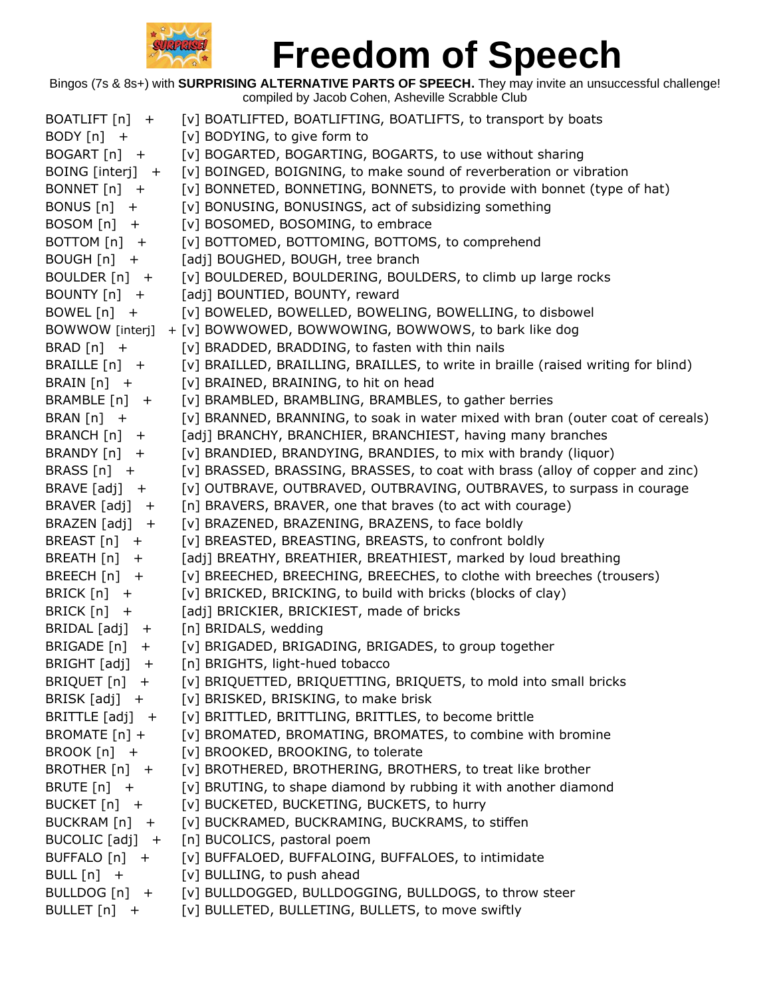

| BOATLIFT $[n]$ +    | [v] BOATLIFTED, BOATLIFTING, BOATLIFTS, to transport by boats                     |
|---------------------|-----------------------------------------------------------------------------------|
| BODY $[n]$ +        | [v] BODYING, to give form to                                                      |
| $BOGART[n]$ +       | [v] BOGARTED, BOGARTING, BOGARTS, to use without sharing                          |
| BOING [interj] +    | [v] BOINGED, BOIGNING, to make sound of reverberation or vibration                |
| BONNET [n] +        | [v] BONNETED, BONNETING, BONNETS, to provide with bonnet (type of hat)            |
| BONUS $[n]$ +       | [v] BONUSING, BONUSINGS, act of subsidizing something                             |
| $BOSOM[n]$ +        | [v] BOSOMED, BOSOMING, to embrace                                                 |
| BOTTOM $[n]$ +      | [v] BOTTOMED, BOTTOMING, BOTTOMS, to comprehend                                   |
| BOUGH $[n]$ +       | [adj] BOUGHED, BOUGH, tree branch                                                 |
| BOULDER $[n]$ +     | [v] BOULDERED, BOULDERING, BOULDERS, to climb up large rocks                      |
| BOUNTY [n] +        | [adj] BOUNTIED, BOUNTY, reward                                                    |
| BOWEL $[n]$ +       | [v] BOWELED, BOWELLED, BOWELING, BOWELLING, to disbowel                           |
| BOWWOW [interj]     | + [v] BOWWOWED, BOWWOWING, BOWWOWS, to bark like dog                              |
| BRAD $[n]$ +        | [v] BRADDED, BRADDING, to fasten with thin nails                                  |
| BRAILLE $[n]$ +     | [v] BRAILLED, BRAILLING, BRAILLES, to write in braille (raised writing for blind) |
| BRAIN $[n]$ +       | [v] BRAINED, BRAINING, to hit on head                                             |
| BRAMBLE [n] +       | [v] BRAMBLED, BRAMBLING, BRAMBLES, to gather berries                              |
| BRAN $[n]$ +        | [v] BRANNED, BRANNING, to soak in water mixed with bran (outer coat of cereals)   |
| BRANCH $[n]$ +      | [adj] BRANCHY, BRANCHIER, BRANCHIEST, having many branches                        |
| BRANDY [n] +        | [v] BRANDIED, BRANDYING, BRANDIES, to mix with brandy (liquor)                    |
| BRASS $[n]$ +       | [v] BRASSED, BRASSING, BRASSES, to coat with brass (alloy of copper and zinc)     |
| BRAVE $[adj] +$     | [v] OUTBRAVE, OUTBRAVED, OUTBRAVING, OUTBRAVES, to surpass in courage             |
| BRAVER $[adj] +$    | [n] BRAVERS, BRAVER, one that braves (to act with courage)                        |
| BRAZEN $[adj] +$    | [v] BRAZENED, BRAZENING, BRAZENS, to face boldly                                  |
| BREAST [n] +        | [v] BREASTED, BREASTING, BREASTS, to confront boldly                              |
| BREATH $[n]$ +      | [adj] BREATHY, BREATHIER, BREATHIEST, marked by loud breathing                    |
| BREECH $[n]$ +      | [v] BREECHED, BREECHING, BREECHES, to clothe with breeches (trousers)             |
| BRICK $[n]$ +       | [v] BRICKED, BRICKING, to build with bricks (blocks of clay)                      |
| BRICK $[n]$ +       | [adj] BRICKIER, BRICKIEST, made of bricks                                         |
| BRIDAL [adj] +      | [n] BRIDALS, wedding                                                              |
| BRIGADE [n]<br>$+$  | [v] BRIGADED, BRIGADING, BRIGADES, to group together                              |
| BRIGHT [adj]<br>$+$ | [n] BRIGHTS, light-hued tobacco                                                   |
| BRIQUET [n] +       | [v] BRIQUETTED, BRIQUETTING, BRIQUETS, to mold into small bricks                  |
|                     | BRISK [adj] + [v] BRISKED, BRISKING, to make brisk                                |
|                     | BRITTLE [adj] + [v] BRITTLED, BRITTLING, BRITTLES, to become brittle              |
|                     | BROMATE [n] + [v] BROMATED, BROMATING, BROMATES, to combine with bromine          |
|                     | BROOK [n] + [v] BROOKED, BROOKING, to tolerate                                    |
| BROTHER $[n]$ +     | [v] BROTHERED, BROTHERING, BROTHERS, to treat like brother                        |
| BRUTE $[n]$ +       | [v] BRUTING, to shape diamond by rubbing it with another diamond                  |
|                     | BUCKET [n] + [v] BUCKETED, BUCKETING, BUCKETS, to hurry                           |
|                     | BUCKRAM [n] + [v] BUCKRAMED, BUCKRAMING, BUCKRAMS, to stiffen                     |
|                     | BUCOLIC [adj] + [n] BUCOLICS, pastoral poem                                       |
| BUFFALO $[n]$ +     | [v] BUFFALOED, BUFFALOING, BUFFALOES, to intimidate                               |
| BULL $[n]$ +        | [v] BULLING, to push ahead                                                        |
|                     | BULLDOG [n] + [v] BULLDOGGED, BULLDOGGING, BULLDOGS, to throw steer               |
| BULLET [n] +        | [v] BULLETED, BULLETING, BULLETS, to move swiftly                                 |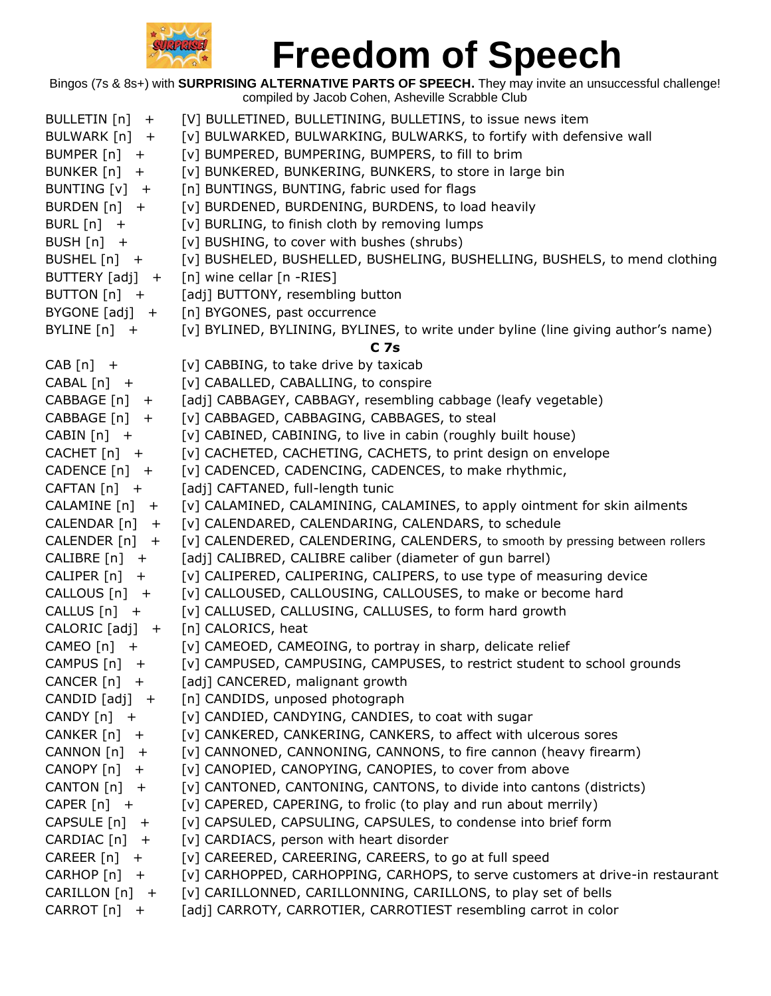

| BULLETIN [n]<br>$+$  | [V] BULLETINED, BULLETINING, BULLETINS, to issue news item                        |
|----------------------|-----------------------------------------------------------------------------------|
| BULWARK [n] +        | [v] BULWARKED, BULWARKING, BULWARKS, to fortify with defensive wall               |
| BUMPER $[n]$ +       | [v] BUMPERED, BUMPERING, BUMPERS, to fill to brim                                 |
| BUNKER $[n]$ +       | [v] BUNKERED, BUNKERING, BUNKERS, to store in large bin                           |
| BUNTING [v] +        | [n] BUNTINGS, BUNTING, fabric used for flags                                      |
| BURDEN $[n]$ +       | [v] BURDENED, BURDENING, BURDENS, to load heavily                                 |
| BURL $[n]$ +         | [v] BURLING, to finish cloth by removing lumps                                    |
| BUSH $[n]$ +         | [v] BUSHING, to cover with bushes (shrubs)                                        |
| BUSHEL $[n]$ +       | [v] BUSHELED, BUSHELLED, BUSHELING, BUSHELLING, BUSHELS, to mend clothing         |
| BUTTERY [adj] +      | $[n]$ wine cellar $[n - RIES]$                                                    |
| BUTTON [n] +         | [adj] BUTTONY, resembling button                                                  |
| BYGONE $[adj]$ +     | [n] BYGONES, past occurrence                                                      |
| BYLINE $[n]$ +       | [v] BYLINED, BYLINING, BYLINES, to write under byline (line giving author's name) |
|                      | C <sub>7s</sub>                                                                   |
| $CAB[n]$ +           | [v] CABBING, to take drive by taxicab                                             |
| $CABAL[n]$ +         | [v] CABALLED, CABALLING, to conspire                                              |
| CABBAGE [n] +        | [adj] CABBAGEY, CABBAGY, resembling cabbage (leafy vegetable)                     |
| $CABBAGE[n] +$       | [v] CABBAGED, CABBAGING, CABBAGES, to steal                                       |
| $CABIN[n]$ +         | [v] CABINED, CABINING, to live in cabin (roughly built house)                     |
| $CACHET[n]$ +        | [v] CACHETED, CACHETING, CACHETS, to print design on envelope                     |
| $CADENCE[n]$ +       | [v] CADENCED, CADENCING, CADENCES, to make rhythmic,                              |
| $CAFTAN[n]$ +        | [adj] CAFTANED, full-length tunic                                                 |
| CALAMINE [n] +       | [v] CALAMINED, CALAMINING, CALAMINES, to apply ointment for skin ailments         |
| CALENDAR $[n]$ +     | [v] CALENDARED, CALENDARING, CALENDARS, to schedule                               |
| CALENDER $[n]$ +     | [v] CALENDERED, CALENDERING, CALENDERS, to smooth by pressing between rollers     |
| $CALIBRE[n] +$       | [adj] CALIBRED, CALIBRE caliber (diameter of gun barrel)                          |
| $CALIPER[n] +$       | [v] CALIPERED, CALIPERING, CALIPERS, to use type of measuring device              |
| $CALLOUS[n] +$       | [v] CALLOUSED, CALLOUSING, CALLOUSES, to make or become hard                      |
| $CALLUS[n] +$        | [v] CALLUSED, CALLUSING, CALLUSES, to form hard growth                            |
| $CALORIC [adj] +$    | [n] CALORICS, heat                                                                |
| CAMEO $[n]$ +        | [v] CAMEOED, CAMEOING, to portray in sharp, delicate relief                       |
| CAMPUS $[n]$ +       | [v] CAMPUSED, CAMPUSING, CAMPUSES, to restrict student to school grounds          |
| CANCER $[n]$ +       | [adj] CANCERED, malignant growth                                                  |
| CANDID $[adj] +$     | [n] CANDIDS, unposed photograph                                                   |
| CANDY $[n]$ +        | [v] CANDIED, CANDYING, CANDIES, to coat with sugar                                |
| CANKER $[n]$ +       | [v] CANKERED, CANKERING, CANKERS, to affect with ulcerous sores                   |
| CANNON [n]<br>$^{+}$ | [v] CANNONED, CANNONING, CANNONS, to fire cannon (heavy firearm)                  |
| CANOPY [n]<br>$+$    | [v] CANOPIED, CANOPYING, CANOPIES, to cover from above                            |
| CANTON $[n]$ +       | [v] CANTONED, CANTONING, CANTONS, to divide into cantons (districts)              |
| CAPER $[n]$ +        | [v] CAPERED, CAPERING, to frolic (to play and run about merrily)                  |
| CAPSULE $[n]$ +      | [v] CAPSULED, CAPSULING, CAPSULES, to condense into brief form                    |
| CARDIAC [n]<br>$+$   | [v] CARDIACS, person with heart disorder                                          |
| CAREER [n]<br>$^{+}$ | [v] CAREERED, CAREERING, CAREERS, to go at full speed                             |
| CARHOP [n]<br>$^{+}$ | [v] CARHOPPED, CARHOPPING, CARHOPS, to serve customers at drive-in restaurant     |
| CARILLON $[n]$ +     | [v] CARILLONNED, CARILLONNING, CARILLONS, to play set of bells                    |
| CARROT [n]<br>$^{+}$ | [adj] CARROTY, CARROTIER, CARROTIEST resembling carrot in color                   |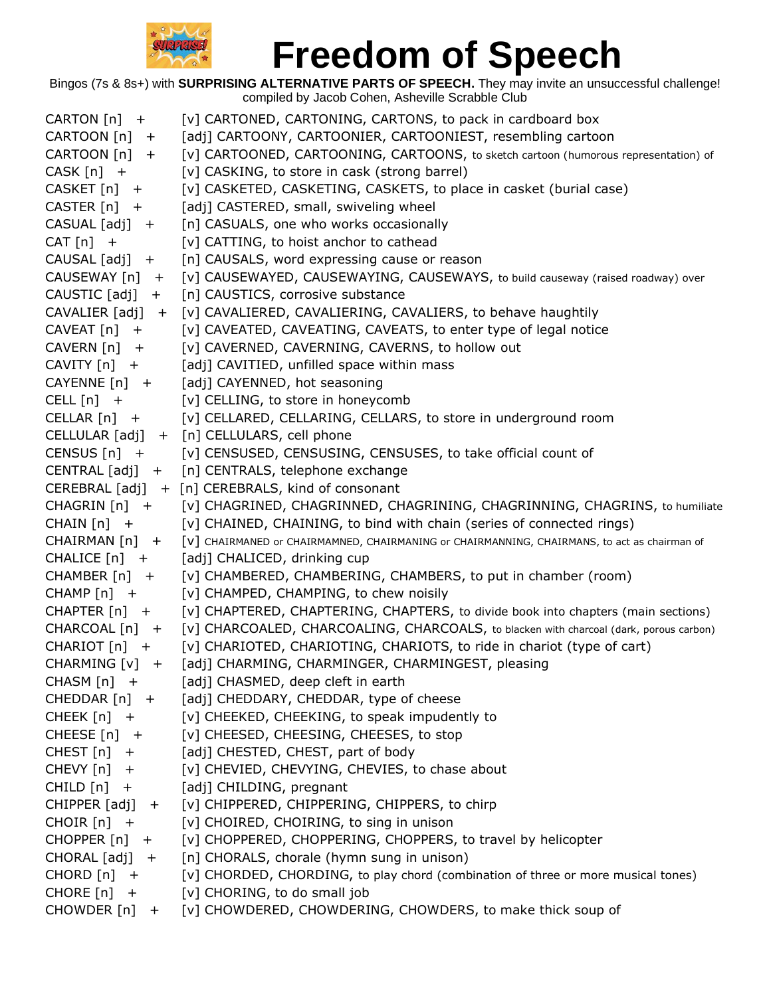

| CARTON [n] +         | [v] CARTONED, CARTONING, CARTONS, to pack in cardboard box                                   |
|----------------------|----------------------------------------------------------------------------------------------|
| CARTOON [n] +        | [adj] CARTOONY, CARTOONIER, CARTOONIEST, resembling cartoon                                  |
| CARTOON $[n]$ +      | [v] CARTOONED, CARTOONING, CARTOONS, to sketch cartoon (humorous representation) of          |
| $CASK[n] +$          | [v] CASKING, to store in cask (strong barrel)                                                |
| $CASEET[n] +$        | [v] CASKETED, CASKETING, CASKETS, to place in casket (burial case)                           |
| $CASTER[n]$ +        | [adj] CASTERED, small, swiveling wheel                                                       |
| CASUAL [adj] +       | [n] CASUALS, one who works occasionally                                                      |
| $CAT[n]$ +           | [v] CATTING, to hoist anchor to cathead                                                      |
| $CAUSAL [adj] +$     | [n] CAUSALS, word expressing cause or reason                                                 |
| CAUSEWAY [n] +       | [v] CAUSEWAYED, CAUSEWAYING, CAUSEWAYS, to build causeway (raised roadway) over              |
| CAUSTIC [adj]<br>$+$ | [n] CAUSTICS, corrosive substance                                                            |
| $CAVALIER [adj] +$   | [v] CAVALIERED, CAVALIERING, CAVALIERS, to behave haughtily                                  |
| $CAVEAT[n]$ +        | [v] CAVEATED, CAVEATING, CAVEATS, to enter type of legal notice                              |
| $CAVERN[n]$ +        | [v] CAVERNED, CAVERNING, CAVERNS, to hollow out                                              |
| $CAVITY[n]$ +        | [adj] CAVITIED, unfilled space within mass                                                   |
| $CAYENNE[n]$ +       | [adj] CAYENNED, hot seasoning                                                                |
| CELL $[n]$ +         | [v] CELLING, to store in honeycomb                                                           |
| $CELLAR[n] +$        | [v] CELLARED, CELLARING, CELLARS, to store in underground room                               |
|                      | CELLULAR [adj] + [n] CELLULARS, cell phone                                                   |
| $CENSUS[n]$ +        | [v] CENSUSED, CENSUSING, CENSUSES, to take official count of                                 |
| CENTRAL [adj] +      | [n] CENTRALS, telephone exchange                                                             |
|                      | CEREBRAL [adj] + [n] CEREBRALS, kind of consonant                                            |
| CHAGRIN [n] +        | [v] CHAGRINED, CHAGRINNED, CHAGRINING, CHAGRINNING, CHAGRINS, to humiliate                   |
| CHAIN $[n]$ +        | [v] CHAINED, CHAINING, to bind with chain (series of connected rings)                        |
| CHAIRMAN [n] +       | [V] CHAIRMANED or CHAIRMAMNED, CHAIRMANING or CHAIRMANNING, CHAIRMANS, to act as chairman of |
| $CHALICE[n] +$       | [adj] CHALICED, drinking cup                                                                 |
| $CHAMBER[n]$ +       | [v] CHAMBERED, CHAMBERING, CHAMBERS, to put in chamber (room)                                |
| CHAMP $[n]$ +        | [v] CHAMPED, CHAMPING, to chew noisily                                                       |
| $CHAPTER[n] +$       | [v] CHAPTERED, CHAPTERING, CHAPTERS, to divide book into chapters (main sections)            |
| CHARCOAL [n] +       | [v] CHARCOALED, CHARCOALING, CHARCOALS, to blacken with charcoal (dark, porous carbon)       |
| $CHARIOT[n]$ +       | [v] CHARIOTED, CHARIOTING, CHARIOTS, to ride in chariot (type of cart)                       |
| CHARMING $[v]$ +     | [adj] CHARMING, CHARMINGER, CHARMINGEST, pleasing                                            |
| $CHASM[n]$ +         | [adj] CHASMED, deep cleft in earth                                                           |
| $CHEDDAR[n]$ +       | [adj] CHEDDARY, CHEDDAR, type of cheese                                                      |
| CHEEK $[n]$ +        | [v] CHEEKED, CHEEKING, to speak impudently to                                                |
| CHEESE $[n]$ +       | [v] CHEESED, CHEESING, CHEESES, to stop                                                      |
| $CHEST[n]$ +         | [adj] CHESTED, CHEST, part of body                                                           |
| $CHEVY[n]$ +         | [v] CHEVIED, CHEVYING, CHEVIES, to chase about                                               |
| $CHILD[n] +$         | [adj] CHILDING, pregnant                                                                     |
| CHIPPER $[adj] +$    | [v] CHIPPERED, CHIPPERING, CHIPPERS, to chirp                                                |
| $CHOIR[n]$ +         | [v] CHOIRED, CHOIRING, to sing in unison                                                     |
| CHOPPER $[n]$ +      | [v] CHOPPERED, CHOPPERING, CHOPPERS, to travel by helicopter                                 |
| CHORAL [adj] +       | [n] CHORALS, chorale (hymn sung in unison)                                                   |
| CHORD $[n]$ +        | [v] CHORDED, CHORDING, to play chord (combination of three or more musical tones)            |
| $CHORE[n] +$         | [v] CHORING, to do small job                                                                 |
|                      | CHOWDER [n] + [v] CHOWDERED, CHOWDERING, CHOWDERS, to make thick soup of                     |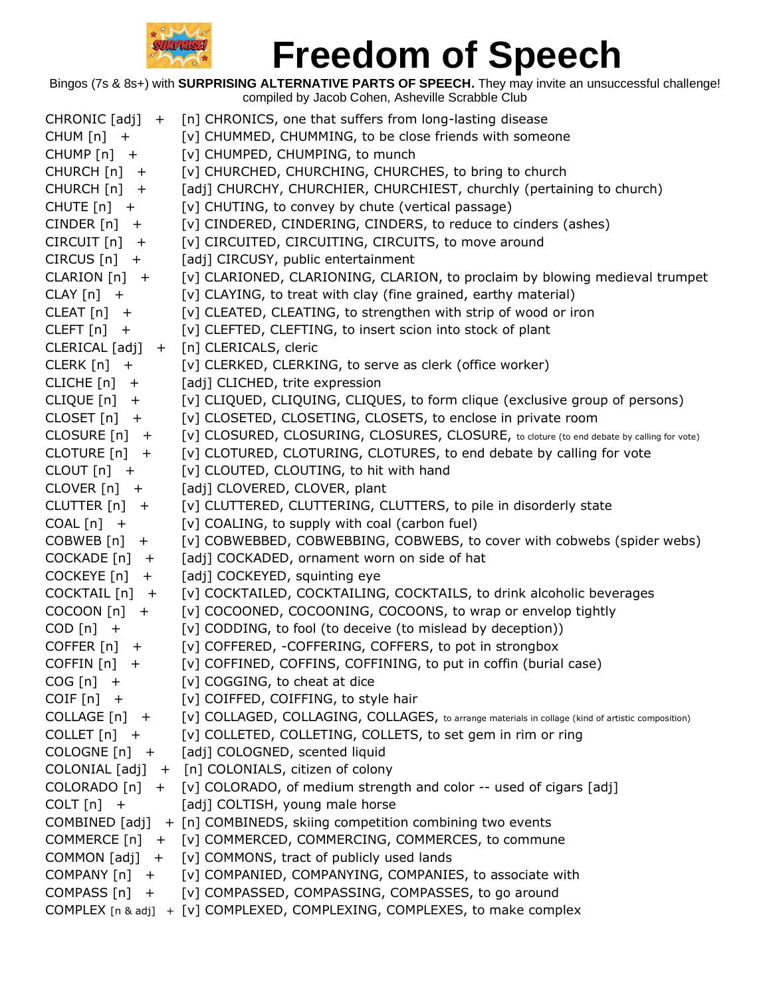

| $CHRONIC [adj] +$    | [n] CHRONICS, one that suffers from long-lasting disease                                                        |
|----------------------|-----------------------------------------------------------------------------------------------------------------|
| CHUM $[n]$ +         | [v] CHUMMED, CHUMMING, to be close friends with someone                                                         |
| CHUMP $[n]$ +        | [v] CHUMPED, CHUMPING, to munch                                                                                 |
| CHURCH $[n]$ +       | [v] CHURCHED, CHURCHING, CHURCHES, to bring to church                                                           |
| CHURCH [n]<br>$+$    | [adj] CHURCHY, CHURCHIER, CHURCHIEST, churchly (pertaining to church)                                           |
| CHUTE $[n]$ +        | [v] CHUTING, to convey by chute (vertical passage)                                                              |
| $CINDER[n] +$        | [v] CINDERED, CINDERING, CINDERS, to reduce to cinders (ashes)                                                  |
| CIRCUIT [n]<br>$+$   | [v] CIRCUITED, CIRCUITING, CIRCUITS, to move around                                                             |
| $CIRCUS[n]$ +        | [adj] CIRCUSY, public entertainment                                                                             |
| CLARION $[n]$ +      | [v] CLARIONED, CLARIONING, CLARION, to proclaim by blowing medieval trumpet                                     |
| $CLAY[n]$ +          | [v] CLAYING, to treat with clay (fine grained, earthy material)                                                 |
| $CLEAT[n]$ +         | [v] CLEATED, CLEATING, to strengthen with strip of wood or iron                                                 |
| CLEFT $[n]$ +        | [v] CLEFTED, CLEFTING, to insert scion into stock of plant                                                      |
|                      | CLERICAL [adj] + [n] CLERICALS, cleric                                                                          |
| $CLERK[n] +$         | [v] CLERKED, CLERKING, to serve as clerk (office worker)                                                        |
| CLICHE $[n]$ +       | [adj] CLICHED, trite expression                                                                                 |
| CLIQUE [n]<br>$^{+}$ | [v] CLIQUED, CLIQUING, CLIQUES, to form clique (exclusive group of persons)                                     |
| $CLOSET[n]$ +        | [v] CLOSETED, CLOSETING, CLOSETS, to enclose in private room                                                    |
| CLOSURE $[n]$ +      | [v] CLOSURED, CLOSURING, CLOSURES, CLOSURE, to cloture (to end debate by calling for vote)                      |
| CLOTURE $[n]$ +      | [v] CLOTURED, CLOTURING, CLOTURES, to end debate by calling for vote                                            |
| CLOUT $[n]$ +        | [v] CLOUTED, CLOUTING, to hit with hand                                                                         |
| $CLOVER[n] +$        | [adj] CLOVERED, CLOVER, plant                                                                                   |
| CLUTTER $[n]$ +      | [v] CLUTTERED, CLUTTERING, CLUTTERS, to pile in disorderly state                                                |
| $COAL[n]$ +          | [v] COALING, to supply with coal (carbon fuel)                                                                  |
| COBWEB [n]<br>$+$    | [v] COBWEBBED, COBWEBBING, COBWEBS, to cover with cobwebs (spider webs)                                         |
| COCKADE [n]<br>$+$   | [adj] COCKADED, ornament worn on side of hat                                                                    |
| COCKEYE [n]<br>$+$   | [adj] COCKEYED, squinting eye                                                                                   |
| COCKTAIL [n]<br>$+$  | [v] COCKTAILED, COCKTAILING, COCKTAILS, to drink alcoholic beverages                                            |
| COCOON [n]<br>$+$    | [v] COCOONED, COCOONING, COCOONS, to wrap or envelop tightly                                                    |
| $COD [n] +$          | [v] CODDING, to fool (to deceive (to mislead by deception))                                                     |
| COFFER $[n]$ +       | [v] COFFERED, -COFFERING, COFFERS, to pot in strongbox                                                          |
| COFFIN [n]<br>$\pm$  | [v] COFFINED, COFFINS, COFFINING, to put in coffin (burial case)                                                |
| $COG[n]$ +           | [v] COGGING, to cheat at dice                                                                                   |
| $COIF[n] +$          | [v] COIFFED, COIFFING, to style hair                                                                            |
|                      | COLLAGE [n] + [v] COLLAGED, COLLAGING, COLLAGES, to arrange materials in collage (kind of artistic composition) |
|                      | COLLET [n] + [v] COLLETED, COLLETING, COLLETS, to set gem in rim or ring                                        |
|                      | COLOGNE [n] + [adj] COLOGNED, scented liquid                                                                    |
|                      | COLONIAL [adj] + [n] COLONIALS, citizen of colony                                                               |
|                      | COLORADO [n] + [v] COLORADO, of medium strength and color -- used of cigars [adj]                               |
| COLT $[n]$ +         | [adj] COLTISH, young male horse                                                                                 |
|                      | COMBINED [adj] + [n] COMBINEDS, skiing competition combining two events                                         |
|                      | COMMERCE [n] + [v] COMMERCED, COMMERCING, COMMERCES, to commune                                                 |
|                      | COMMON [adj] + [v] COMMONS, tract of publicly used lands                                                        |
|                      | COMPANY [n] + [v] COMPANIED, COMPANYING, COMPANIES, to associate with                                           |
|                      | COMPASS [n] + [v] COMPASSED, COMPASSING, COMPASSES, to go around                                                |
|                      | COMPLEX [n & adj] + [v] COMPLEXED, COMPLEXING, COMPLEXES, to make complex                                       |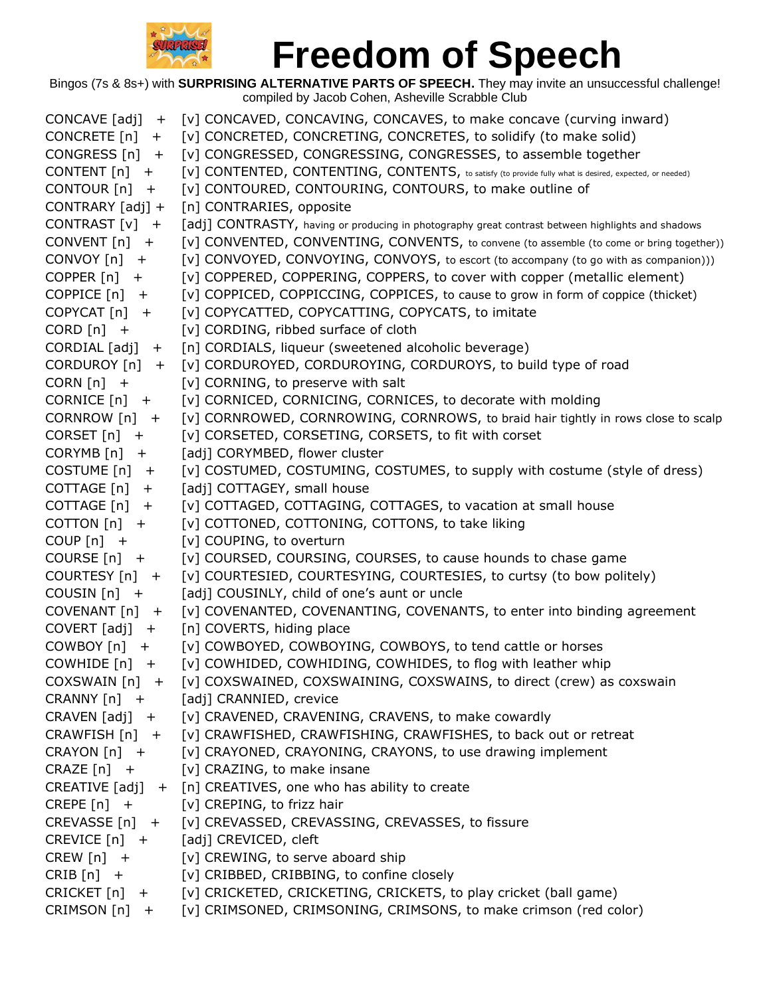

| CONCAVE [adj]<br>$+$ | [v] CONCAVED, CONCAVING, CONCAVES, to make concave (curving inward)                                     |
|----------------------|---------------------------------------------------------------------------------------------------------|
| CONCRETE $[n]$ +     | [v] CONCRETED, CONCRETING, CONCRETES, to solidify (to make solid)                                       |
| CONGRESS $[n]$ +     | [v] CONGRESSED, CONGRESSING, CONGRESSES, to assemble together                                           |
| CONTENT $[n]$ +      | [V] CONTENTED, CONTENTING, CONTENTS, to satisfy (to provide fully what is desired, expected, or needed) |
| CONTOUR [n]<br>$+$   | [v] CONTOURED, CONTOURING, CONTOURS, to make outline of                                                 |
| CONTRARY [adj] +     | [n] CONTRARIES, opposite                                                                                |
| CONTRAST [v] +       | [adj] CONTRASTY, having or producing in photography great contrast between highlights and shadows       |
| $CONVENT[n] +$       | [v] CONVENTED, CONVENTING, CONVENTS, to convene (to assemble (to come or bring together))               |
| $CONVOY[n]$ +        | [v] CONVOYED, CONVOYING, CONVOYS, to escort (to accompany (to go with as companion)))                   |
| COPPER $[n]$ +       | [v] COPPERED, COPPERING, COPPERS, to cover with copper (metallic element)                               |
| COPPICE $[n]$ +      | [v] COPPICED, COPPICCING, COPPICES, to cause to grow in form of coppice (thicket)                       |
| $COPYCAT[n]$ +       | [v] COPYCATTED, COPYCATTING, COPYCATS, to imitate                                                       |
| CORD $[n]$ +         | [v] CORDING, ribbed surface of cloth                                                                    |
| $CORDIAL [adj] +$    | [n] CORDIALS, liqueur (sweetened alcoholic beverage)                                                    |
| CORDUROY [n] +       | [v] CORDUROYED, CORDUROYING, CORDUROYS, to build type of road                                           |
| CORN $[n]$ +         | [v] CORNING, to preserve with salt                                                                      |
| $CORNICE[n] +$       | [v] CORNICED, CORNICING, CORNICES, to decorate with molding                                             |
| CORNROW $[n]$ +      | [v] CORNROWED, CORNROWING, CORNROWS, to braid hair tightly in rows close to scalp                       |
| CORSET $[n]$ +       | [v] CORSETED, CORSETING, CORSETS, to fit with corset                                                    |
| $CORYMB[n]$ +        | [adj] CORYMBED, flower cluster                                                                          |
| COSTUME [n]<br>$+$   | [v] COSTUMED, COSTUMING, COSTUMES, to supply with costume (style of dress)                              |
| COTTAGE [n]<br>$+$   | [adj] COTTAGEY, small house                                                                             |
| COTTAGE $[n]$ +      | [v] COTTAGED, COTTAGING, COTTAGES, to vacation at small house                                           |
| COTTON $[n]$ +       | [v] COTTONED, COTTONING, COTTONS, to take liking                                                        |
| COUP $[n]$ +         | [v] COUPING, to overturn                                                                                |
| COURSE $[n]$ +       | [v] COURSED, COURSING, COURSES, to cause hounds to chase game                                           |
| COURTESY [n] +       | [v] COURTESIED, COURTESYING, COURTESIES, to curtsy (to bow politely)                                    |
| COUSIN $[n]$ +       | [adj] COUSINLY, child of one's aunt or uncle                                                            |
| $COVENANT[n]$ +      | [v] COVENANTED, COVENANTING, COVENANTS, to enter into binding agreement                                 |
| $COVERT [adj] +$     | [n] COVERTS, hiding place                                                                               |
| $COMBOY[n] +$        | [v] COWBOYED, COWBOYING, COWBOYS, to tend cattle or horses                                              |
| COWHIDE $[n]$ +      | [v] COWHIDED, COWHIDING, COWHIDES, to flog with leather whip                                            |
|                      | COXSWAIN [n] + [v] COXSWAINED, COXSWAINING, COXSWAINS, to direct (crew) as coxswain                     |
|                      | CRANNY [n] + [adj] CRANNIED, crevice                                                                    |
|                      | CRAVEN [adj] + [v] CRAVENED, CRAVENING, CRAVENS, to make cowardly                                       |
|                      | CRAWFISH [n] + [v] CRAWFISHED, CRAWFISHING, CRAWFISHES, to back out or retreat                          |
|                      | CRAYON [n] + [v] CRAYONED, CRAYONING, CRAYONS, to use drawing implement                                 |
|                      | CRAZE $[n]$ + $[v]$ CRAZING, to make insane                                                             |
|                      | CREATIVE $[adj] + [n]$ CREATIVES, one who has ability to create                                         |
|                      | CREPE [n] + [v] CREPING, to frizz hair                                                                  |
|                      | CREVASSE [n] + [v] CREVASSED, CREVASSING, CREVASSES, to fissure                                         |
|                      | CREVICE [n] + [adj] CREVICED, cleft                                                                     |
|                      | CREW $[n]$ + $[v]$ CREWING, to serve aboard ship                                                        |
| $CRIB[n]$ +          | [v] CRIBBED, CRIBBING, to confine closely                                                               |
|                      | CRICKET [n] + [v] CRICKETED, CRICKETING, CRICKETS, to play cricket (ball game)                          |
|                      | CRIMSON [n] + [v] CRIMSONED, CRIMSONING, CRIMSONS, to make crimson (red color)                          |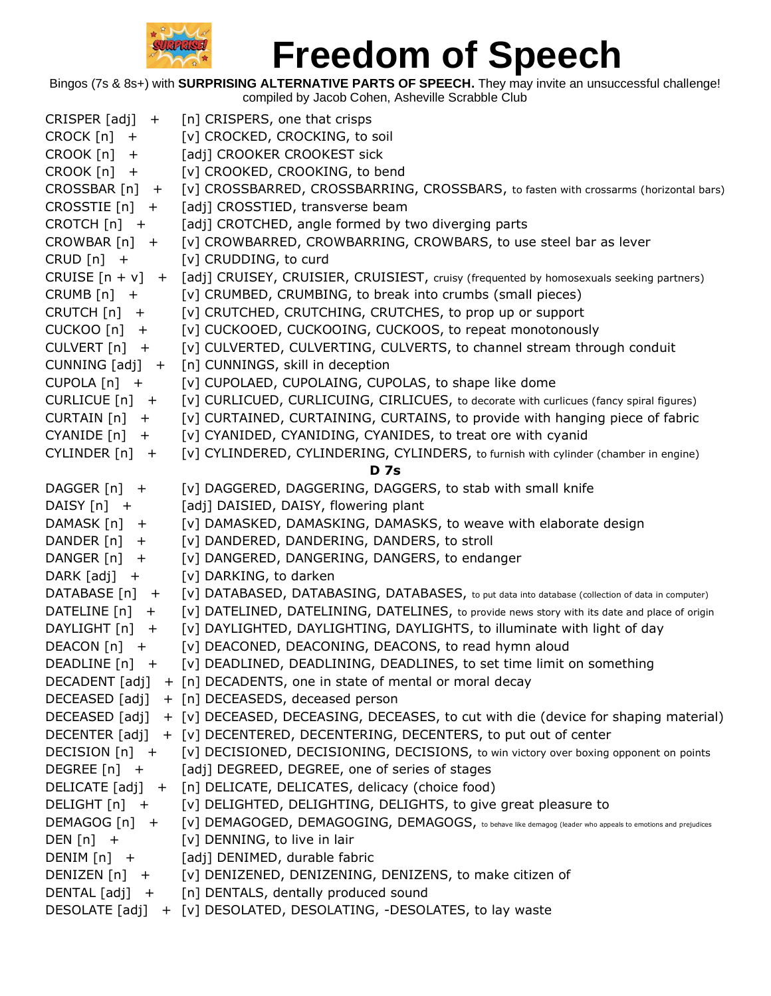

| $CRISPER [adj] +$      | [n] CRISPERS, one that crisps                                                                                            |
|------------------------|--------------------------------------------------------------------------------------------------------------------------|
| CROCK $[n]$ +          | [v] CROCKED, CROCKING, to soil                                                                                           |
| CROOK [n]<br>$\ddot{}$ | [adj] CROOKER CROOKEST sick                                                                                              |
| CROOK [n]<br>$+$       | [v] CROOKED, CROOKING, to bend                                                                                           |
| $CROSSBAR[n]$ +        | [v] CROSSBARRED, CROSSBARRING, CROSSBARS, to fasten with crossarms (horizontal bars)                                     |
| CROSSTIE $[n]$ +       | [adj] CROSSTIED, transverse beam                                                                                         |
| $CROTCH[n]$ +          | [adj] CROTCHED, angle formed by two diverging parts                                                                      |
| $CROWBAR[n] +$         | [v] CROWBARRED, CROWBARRING, CROWBARS, to use steel bar as lever                                                         |
| $CRUD[n]$ +            | [v] CRUDDING, to curd                                                                                                    |
|                        | CRUISE $[n + v] + [adj]$ CRUISEY, CRUISIER, CRUISIEST, cruisy (frequented by homosexuals seeking partners)               |
| CRUMB $[n]$ +          | [v] CRUMBED, CRUMBING, to break into crumbs (small pieces)                                                               |
| CRUTCH $[n]$ +         | [v] CRUTCHED, CRUTCHING, CRUTCHES, to prop up or support                                                                 |
| $CUCKOO[n]$ +          | [v] CUCKOOED, CUCKOOING, CUCKOOS, to repeat monotonously                                                                 |
| CULVERT $[n]$ +        | [v] CULVERTED, CULVERTING, CULVERTS, to channel stream through conduit                                                   |
| CUNNING [adj]<br>$+$   | [n] CUNNINGS, skill in deception                                                                                         |
| CUPOLA $[n]$ +         | [v] CUPOLAED, CUPOLAING, CUPOLAS, to shape like dome                                                                     |
| CURLICUE $[n]$ +       | [v] CURLICUED, CURLICUING, CIRLICUES, to decorate with curlicues (fancy spiral figures)                                  |
| $CURTAIN[n] +$         | [v] CURTAINED, CURTAINING, CURTAINS, to provide with hanging piece of fabric                                             |
| CYANIDE [n]<br>$+$     | [v] CYANIDED, CYANIDING, CYANIDES, to treat ore with cyanid                                                              |
| CYLINDER $[n]$ +       | [v] CYLINDERED, CYLINDERING, CYLINDERS, to furnish with cylinder (chamber in engine)                                     |
|                        | <b>D</b> 7s                                                                                                              |
| DAGGER [n] +           | [v] DAGGERED, DAGGERING, DAGGERS, to stab with small knife                                                               |
| DAISY [n] +            | [adj] DAISIED, DAISY, flowering plant                                                                                    |
| DAMASK [n] +           | [v] DAMASKED, DAMASKING, DAMASKS, to weave with elaborate design                                                         |
| DANDER $[n]$ +         | [v] DANDERED, DANDERING, DANDERS, to stroll                                                                              |
| DANGER [n] +           | [v] DANGERED, DANGERING, DANGERS, to endanger                                                                            |
| DARK $[adj] +$         | [v] DARKING, to darken                                                                                                   |
| DATABASE [n] +         | [V] DATABASED, DATABASING, DATABASES, to put data into database (collection of data in computer)                         |
| DATELINE [n] +         | [v] DATELINED, DATELINING, DATELINES, to provide news story with its date and place of origin                            |
| DAYLIGHT [n] +         | [v] DAYLIGHTED, DAYLIGHTING, DAYLIGHTS, to illuminate with light of day                                                  |
| DEACON [n] +           | [v] DEACONED, DEACONING, DEACONS, to read hymn aloud                                                                     |
| DEADLINE [n]<br>$^{+}$ | [v] DEADLINED, DEADLINING, DEADLINES, to set time limit on something                                                     |
|                        | DECADENT [adj] + [n] DECADENTS, one in state of mental or moral decay                                                    |
|                        | DECEASED [adj] + [n] DECEASEDS, deceased person                                                                          |
|                        | DECEASED [adj] + [v] DECEASED, DECEASING, DECEASES, to cut with die (device for shaping material)                        |
|                        | DECENTER [adj] + [v] DECENTERED, DECENTERING, DECENTERS, to put out of center                                            |
|                        | DECISION [n] + [v] DECISIONED, DECISIONING, DECISIONS, to win victory over boxing opponent on points                     |
|                        | DEGREE [n] + [adj] DEGREED, DEGREE, one of series of stages                                                              |
|                        | DELICATE [adj] + [n] DELICATE, DELICATES, delicacy (choice food)                                                         |
| $DELIGHT[n] +$         | [v] DELIGHTED, DELIGHTING, DELIGHTS, to give great pleasure to                                                           |
|                        | DEMAGOG [n] + [v] DEMAGOGED, DEMAGOGING, DEMAGOGS, to behave like demagog (leader who appeals to emotions and prejudices |
| DEN $[n]$ +            | [v] DENNING, to live in lair                                                                                             |
|                        | DENIM [n] + [adj] DENIMED, durable fabric                                                                                |
|                        | DENIZEN [n] + [v] DENIZENED, DENIZENING, DENIZENS, to make citizen of                                                    |
|                        | DENTAL [adj] + [n] DENTALS, dentally produced sound                                                                      |
|                        | DESOLATE [adj] + [v] DESOLATED, DESOLATING, -DESOLATES, to lay waste                                                     |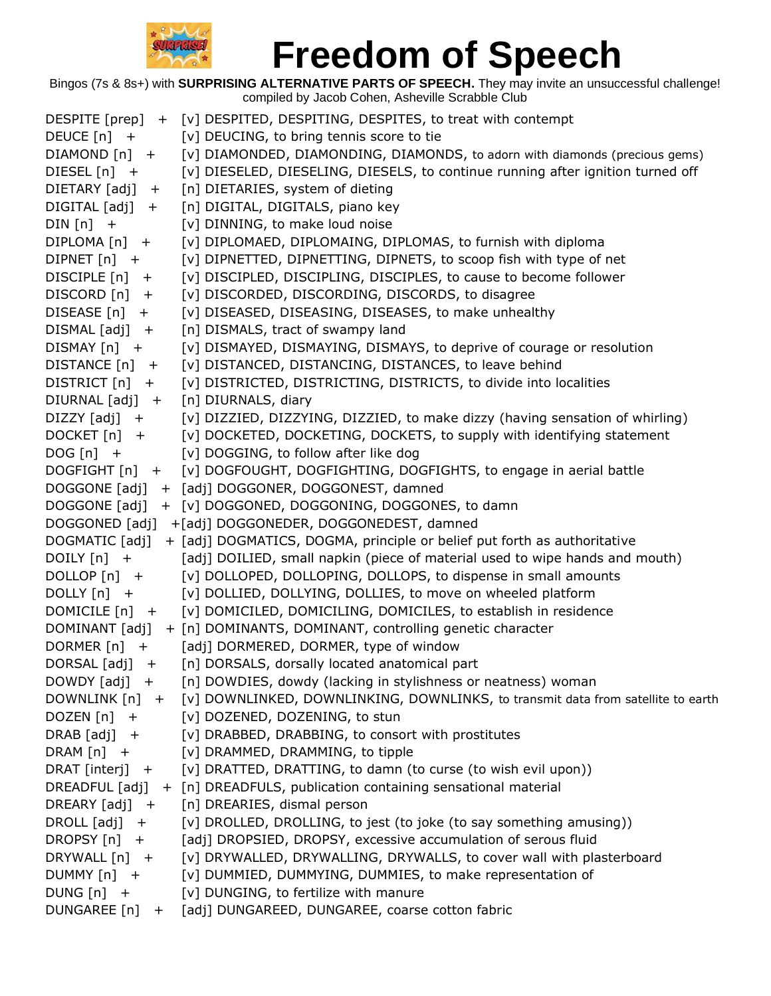

|                     | DESPITE [prep] + [v] DESPITED, DESPITING, DESPITES, to treat with contempt                      |
|---------------------|-------------------------------------------------------------------------------------------------|
| DEUCE $[n]$ +       | [v] DEUCING, to bring tennis score to tie                                                       |
| $DIAMOND[n]$ +      | [v] DIAMONDED, DIAMONDING, DIAMONDS, to adorn with diamonds (precious gems)                     |
| DIESEL [n] +        | [v] DIESELED, DIESELING, DIESELS, to continue running after ignition turned off                 |
| $DIFTARY [adj] +$   | [n] DIETARIES, system of dieting                                                                |
| $DIGITAL [adj] +$   | [n] DIGITAL, DIGITALS, piano key                                                                |
| $DIN[n]$ +          | [v] DINNING, to make loud noise                                                                 |
| $DIPLOMA[n]$ +      | [v] DIPLOMAED, DIPLOMAING, DIPLOMAS, to furnish with diploma                                    |
| DIPNET $[n]$ +      | [v] DIPNETTED, DIPNETTING, DIPNETS, to scoop fish with type of net                              |
| DISCIPLE [n] +      | [v] DISCIPLED, DISCIPLING, DISCIPLES, to cause to become follower                               |
| DISCORD [n] +       | [v] DISCORDED, DISCORDING, DISCORDS, to disagree                                                |
| $DISEASE[n]$ +      | [v] DISEASED, DISEASING, DISEASES, to make unhealthy                                            |
| $DISMAL [adj] +$    | [n] DISMALS, tract of swampy land                                                               |
| $DISMAX[n] +$       | [v] DISMAYED, DISMAYING, DISMAYS, to deprive of courage or resolution                           |
| DISTANCE $[n]$ +    | [v] DISTANCED, DISTANCING, DISTANCES, to leave behind                                           |
| $DISTRICT[n] +$     | [v] DISTRICTED, DISTRICTING, DISTRICTS, to divide into localities                               |
| DIURNAL [adj] +     | [n] DIURNALS, diary                                                                             |
| $DIZZY$ $[adj]$ +   | [v] DIZZIED, DIZZYING, DIZZIED, to make dizzy (having sensation of whirling)                    |
| $DOCKET[n] +$       | [v] DOCKETED, DOCKETING, DOCKETS, to supply with identifying statement                          |
| $DOG[n]$ +          | [v] DOGGING, to follow after like dog                                                           |
| DOGFIGHT [n] +      | [v] DOGFOUGHT, DOGFIGHTING, DOGFIGHTS, to engage in aerial battle                               |
| DOGGONE [adj]       | + [adj] DOGGONER, DOGGONEST, damned                                                             |
| DOGGONE [adj]       | + [v] DOGGONED, DOGGONING, DOGGONES, to damn                                                    |
|                     | DOGGONED [adj] + [adj] DOGGONEDER, DOGGONEDEST, damned                                          |
| DOGMATIC [adj]      | + [adj] DOGMATICS, DOGMA, principle or belief put forth as authoritative                        |
| DOILY $[n]$ +       | [adj] DOILIED, small napkin (piece of material used to wipe hands and mouth)                    |
| DOLLOP [n] +        | [v] DOLLOPED, DOLLOPING, DOLLOPS, to dispense in small amounts                                  |
| $DOLLY[n]$ +        | [v] DOLLIED, DOLLYING, DOLLIES, to move on wheeled platform                                     |
| DOMICILE $[n]$ +    | [v] DOMICILED, DOMICILING, DOMICILES, to establish in residence                                 |
|                     | DOMINANT [adj] + [n] DOMINANTS, DOMINANT, controlling genetic character                         |
| DORMER $[n]$ +      | [adj] DORMERED, DORMER, type of window                                                          |
| DORSAL $[adj] +$    | [n] DORSALS, dorsally located anatomical part                                                   |
| DOWDY [adj] +       | [n] DOWDIES, dowdy (lacking in stylishness or neatness) woman                                   |
|                     | DOWNLINK [n] + [v] DOWNLINKED, DOWNLINKING, DOWNLINKS, to transmit data from satellite to earth |
| DOZEN $[n]$ +       | [v] DOZENED, DOZENING, to stun                                                                  |
| $DRAB [adj] +$      | [v] DRABBED, DRABBING, to consort with prostitutes                                              |
| DRAM $[n]$ +        | [v] DRAMMED, DRAMMING, to tipple                                                                |
| $DRAT$ [interj] $+$ | [v] DRATTED, DRATTING, to damn (to curse (to wish evil upon))                                   |
|                     | DREADFUL [adj] + [n] DREADFULS, publication containing sensational material                     |
| DREARY $[adj] +$    | [n] DREARIES, dismal person                                                                     |
| DROLL $[adj] +$     | [v] DROLLED, DROLLING, to jest (to joke (to say something amusing))                             |
| DROPSY $[n]$ +      | [adj] DROPSIED, DROPSY, excessive accumulation of serous fluid                                  |
| DRYWALL [n] +       | [v] DRYWALLED, DRYWALLING, DRYWALLS, to cover wall with plasterboard                            |
| DUMMY $[n]$ +       | [v] DUMMIED, DUMMYING, DUMMIES, to make representation of                                       |
| $DUNG[n] +$         | [v] DUNGING, to fertilize with manure                                                           |
| DUNGAREE [n] +      | [adj] DUNGAREED, DUNGAREE, coarse cotton fabric                                                 |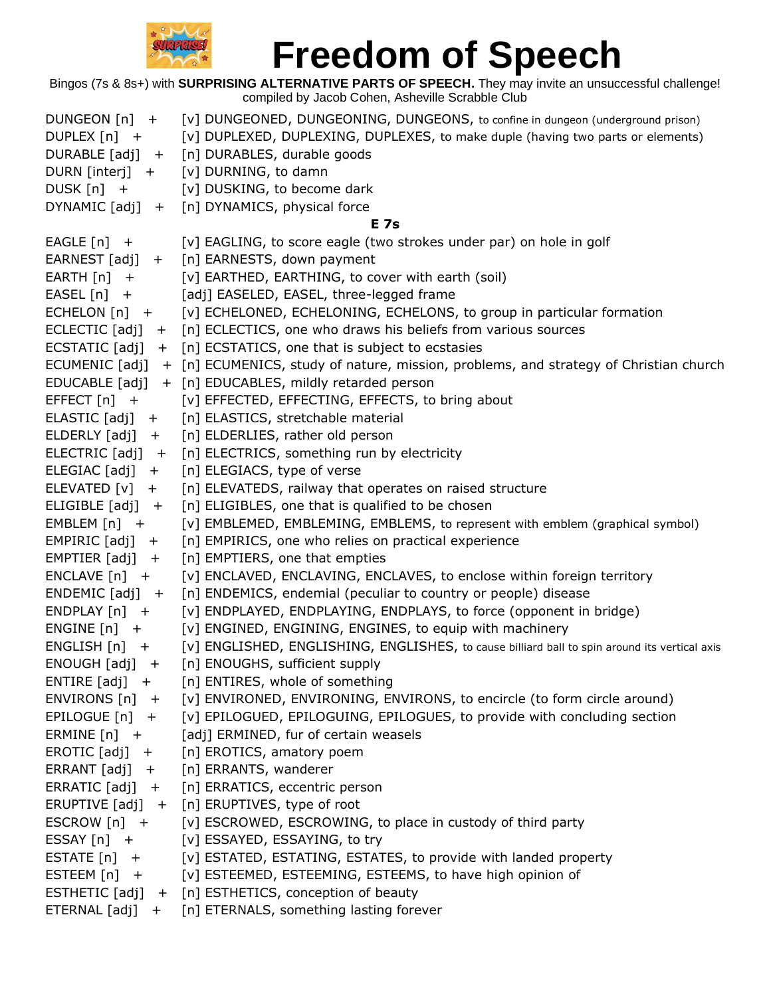

| DUNGEON $[n]$ +                    | [v] DUNGEONED, DUNGEONING, DUNGEONS, to confine in dungeon (underground prison)                      |
|------------------------------------|------------------------------------------------------------------------------------------------------|
| DUPLEX [n] +                       | [v] DUPLEXED, DUPLEXING, DUPLEXES, to make duple (having two parts or elements)                      |
|                                    | DURABLE [adj] + [n] DURABLES, durable goods                                                          |
| DURN [interj] +                    | [v] DURNING, to damn                                                                                 |
| DUSK $[n]$ +                       | [v] DUSKING, to become dark                                                                          |
|                                    | DYNAMIC [adj] + [n] DYNAMICS, physical force                                                         |
|                                    | <b>E</b> 7s                                                                                          |
| EAGLE $[n]$ +                      | [v] EAGLING, to score eagle (two strokes under par) on hole in golf                                  |
|                                    | EARNEST [adj] + [n] EARNESTS, down payment                                                           |
| EARTH $[n]$ +                      | [v] EARTHED, EARTHING, to cover with earth (soil)                                                    |
| $EASEL[n]$ +                       | [adj] EASELED, EASEL, three-legged frame                                                             |
| $ECHELON[n]$ +                     | [v] ECHELONED, ECHELONING, ECHELONS, to group in particular formation                                |
|                                    | ECLECTIC [adj] + [n] ECLECTICS, one who draws his beliefs from various sources                       |
|                                    | ECSTATIC $[adj] + [n]$ ECSTATICS, one that is subject to ecstasies                                   |
|                                    | ECUMENIC [adj] + [n] ECUMENICS, study of nature, mission, problems, and strategy of Christian church |
|                                    | EDUCABLE [adj] + [n] EDUCABLES, mildly retarded person                                               |
| $EFFECT[n] +$                      | [v] EFFECTED, EFFECTING, EFFECTS, to bring about                                                     |
| $ELASTIC [adj] +$                  | [n] ELASTICS, stretchable material                                                                   |
|                                    | ELDERLY [adj] + [n] ELDERLIES, rather old person                                                     |
|                                    | ELECTRIC [adj] + [n] ELECTRICS, something run by electricity                                         |
| $ELEGIAC [adj] +$                  | [n] ELEGIACS, type of verse                                                                          |
| ELEVATED $[v]$ +                   | [n] ELEVATEDS, railway that operates on raised structure                                             |
| ELIGIBLE $[adj] +$                 | [n] ELIGIBLES, one that is qualified to be chosen                                                    |
| EMBLEM $[n]$ +                     | [v] EMBLEMED, EMBLEMING, EMBLEMS, to represent with emblem (graphical symbol)                        |
| EMPIRIC $[adj] +$                  | [n] EMPIRICS, one who relies on practical experience                                                 |
| $EMPTIER [adj] +$                  | [n] EMPTIERS, one that empties                                                                       |
| $ENCLAVE[n] +$                     | [v] ENCLAVED, ENCLAVING, ENCLAVES, to enclose within foreign territory                               |
| $ENDEMIC [adj] +$                  | [n] ENDEMICS, endemial (peculiar to country or people) disease                                       |
| $ENDPLAN[n] +$                     | [v] ENDPLAYED, ENDPLAYING, ENDPLAYS, to force (opponent in bridge)                                   |
| ENGINE $[n]$ +                     | [v] ENGINED, ENGINING, ENGINES, to equip with machinery                                              |
| $ENGLISH[n]$ +                     | [v] ENGLISHED, ENGLISHING, ENGLISHES, to cause billiard ball to spin around its vertical axis        |
| $ENOUGH [adj] +$                   | [n] ENOUGHS, sufficient supply                                                                       |
| ENTIRE $[adj] +$                   | [n] ENTIRES, whole of something                                                                      |
| ENVIRONS $[n]$ +                   | [v] ENVIRONED, ENVIRONING, ENVIRONS, to encircle (to form circle around)                             |
| EPILOGUE $[n]$ +                   | [v] EPILOGUED, EPILOGUING, EPILOGUES, to provide with concluding section                             |
| ERMINE $[n]$ +                     | [adj] ERMINED, fur of certain weasels                                                                |
| $EROTIC [adj] +$                   | [n] EROTICS, amatory poem                                                                            |
| $\textsf{ERRANT}\texttt{[adj]}$ +  | [n] ERRANTS, wanderer                                                                                |
| $\textsf{ERRATIC}\texttt{[adj]}$ + | [n] ERRATICS, eccentric person                                                                       |
|                                    | ERUPTIVE [adj] + [n] ERUPTIVES, type of root                                                         |
| ESCROW $[n]$ +                     | [v] ESCROWED, ESCROWING, to place in custody of third party                                          |
| ESSAY $[n]$ +                      | [v] ESSAYED, ESSAYING, to try                                                                        |
| ESTATE $[n]$ +                     | [v] ESTATED, ESTATING, ESTATES, to provide with landed property                                      |
| ESTEEM $[n]$ +                     | [v] ESTEEMED, ESTEEMING, ESTEEMS, to have high opinion of                                            |
|                                    | ESTHETIC [adj] + [n] ESTHETICS, conception of beauty                                                 |
|                                    | ETERNAL [adj] + [n] ETERNALS, something lasting forever                                              |